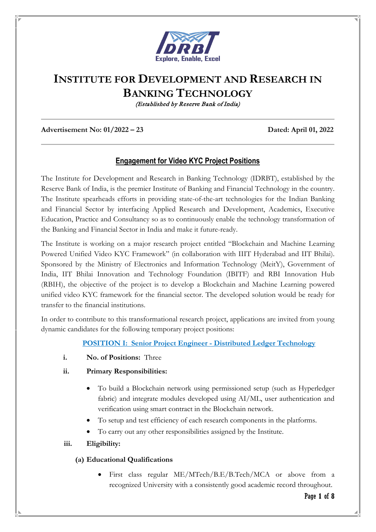

# **INSTITUTE FOR DEVELOPMENT AND RESEARCH IN BANKING TECHNOLOGY**

(Established by Reserve Bank of India)

#### **Advertisement No: 01/2022 – 23 Dated: April 01, 2022**

# **Engagement for Video KYC Project Positions**

The Institute for Development and Research in Banking Technology (IDRBT), established by the Reserve Bank of India, is the premier Institute of Banking and Financial Technology in the country. The Institute spearheads efforts in providing state-of-the-art technologies for the Indian Banking and Financial Sector by interfacing Applied Research and Development, Academics, Executive Education, Practice and Consultancy so as to continuously enable the technology transformation of the Banking and Financial Sector in India and make it future-ready.

The Institute is working on a major research project entitled "Blockchain and Machine Learning Powered Unified Video KYC Framework" (in collaboration with IIIT Hyderabad and IIT Bhilai). Sponsored by the Ministry of Electronics and Information Technology (MeitY), Government of India, IIT Bhilai Innovation and Technology Foundation (IBITF) and RBI Innovation Hub (RBIH), the objective of the project is to develop a Blockchain and Machine Learning powered unified video KYC framework for the financial sector. The developed solution would be ready for transfer to the financial institutions.

In order to contribute to this transformational research project, applications are invited from young dynamic candidates for the following temporary project positions:

### **POSITION I: Senior Project Engineer - Distributed Ledger Technology**

**i. No. of Positions:** Three

#### **ii. Primary Responsibilities:**

- To build a Blockchain network using permissioned setup (such as Hyperledger fabric) and integrate modules developed using AI/ML, user authentication and verification using smart contract in the Blockchain network.
- To setup and test efficiency of each research components in the platforms.
- To carry out any other responsibilities assigned by the Institute.

### **iii. Eligibility:**

### **(a) Educational Qualifications**

First class regular ME/MTech/B.E/B.Tech/MCA or above from a recognized University with a consistently good academic record throughout.

#### Page **1** of **8**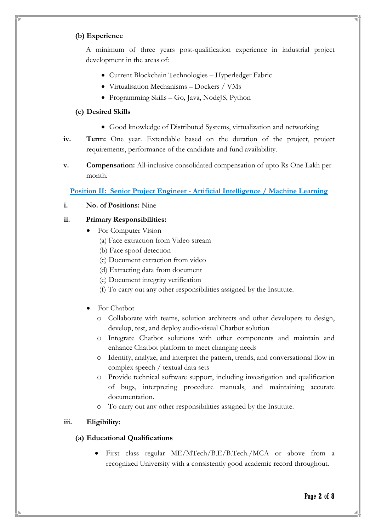#### **(b) Experience**

A minimum of three years post-qualification experience in industrial project development in the areas of:

- Current Blockchain Technologies Hyperledger Fabric
- Virtualisation Mechanisms Dockers / VMs
- Programming Skills Go, Java, NodeJS, Python

### **(c) Desired Skills**

- Good knowledge of Distributed Systems, virtualization and networking
- **iv. Term:** One year. Extendable based on the duration of the project, project requirements, performance of the candidate and fund availability.
- **v. Compensation:** All-inclusive consolidated compensation of upto Rs One Lakh per month.

**Position II: Senior Project Engineer - Artificial Intelligence / Machine Learning**

**i. No. of Positions:** Nine

### **ii. Primary Responsibilities:**

- For Computer Vision
	- (a) Face extraction from Video stream
	- (b) Face spoof detection
	- (c) Document extraction from video
	- (d) Extracting data from document
	- (e) Document integrity verification
	- (f) To carry out any other responsibilities assigned by the Institute.
- For Chatbot
	- o Collaborate with teams, solution architects and other developers to design, develop, test, and deploy audio-visual Chatbot solution
	- o Integrate Chatbot solutions with other components and maintain and enhance Chatbot platform to meet changing needs
	- o Identify, analyze, and interpret the pattern, trends, and conversational flow in complex speech / textual data sets
	- o Provide technical software support, including investigation and qualification of bugs, interpreting procedure manuals, and maintaining accurate documentation.
	- o To carry out any other responsibilities assigned by the Institute.

### **iii. Eligibility:**

### **(a) Educational Qualifications**

• First class regular ME/MTech/B.E/B.Tech./MCA or above from a recognized University with a consistently good academic record throughout.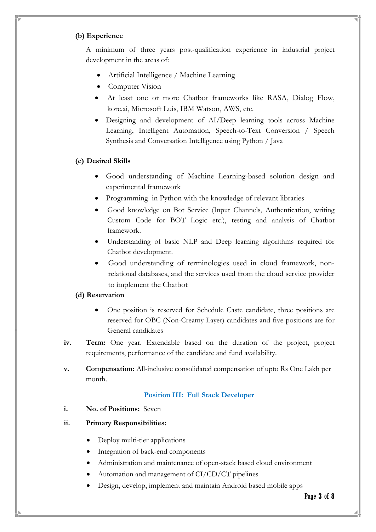#### **(b) Experience**

A minimum of three years post-qualification experience in industrial project development in the areas of:

- Artificial Intelligence / Machine Learning
- Computer Vision
- At least one or more Chatbot frameworks like RASA, Dialog Flow, kore.ai, Microsoft Luis, IBM Watson, AWS, etc.
- Designing and development of AI/Deep learning tools across Machine Learning, Intelligent Automation, Speech-to-Text Conversion / Speech Synthesis and Conversation Intelligence using Python / Java

#### **(c) Desired Skills**

- Good understanding of Machine Learning-based solution design and experimental framework
- Programming in Python with the knowledge of relevant libraries
- Good knowledge on Bot Service (Input Channels, Authentication, writing Custom Code for BOT Logic etc.), testing and analysis of Chatbot framework.
- Understanding of basic NLP and Deep learning algorithms required for Chatbot development.
- Good understanding of terminologies used in cloud framework, nonrelational databases, and the services used from the cloud service provider to implement the Chatbot

#### **(d) Reservation**

- One position is reserved for Schedule Caste candidate, three positions are reserved for OBC (Non-Creamy Layer) candidates and five positions are for General candidates
- **iv. Term:** One year. Extendable based on the duration of the project, project requirements, performance of the candidate and fund availability.
- **v. Compensation:** All-inclusive consolidated compensation of upto Rs One Lakh per month.

### **Position III: Full Stack Developer**

**i. No. of Positions:** Seven

### **ii. Primary Responsibilities:**

- Deploy multi-tier applications
- Integration of back-end components
- Administration and maintenance of open-stack based cloud environment
- Automation and management of CI/CD/CT pipelines
- Design, develop, implement and maintain Android based mobile apps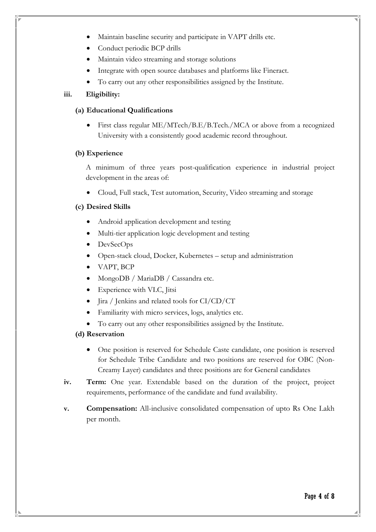- Maintain baseline security and participate in VAPT drills etc.
- Conduct periodic BCP drills
- Maintain video streaming and storage solutions
- Integrate with open source databases and platforms like Fineract.
- To carry out any other responsibilities assigned by the Institute.

### **iii. Eligibility:**

#### **(a) Educational Qualifications**

• First class regular ME/MTech/B.E/B.Tech./MCA or above from a recognized University with a consistently good academic record throughout.

#### **(b) Experience**

A minimum of three years post-qualification experience in industrial project development in the areas of:

• Cloud, Full stack, Test automation, Security, Video streaming and storage

### **(c) Desired Skills**

- Android application development and testing
- Multi-tier application logic development and testing
- DevSecOps
- Open-stack cloud, Docker, Kubernetes setup and administration
- VAPT, BCP
- MongoDB / MariaDB / Cassandra etc.
- Experience with VLC, Jitsi
- Jira / Jenkins and related tools for CI/CD/CT
- Familiarity with micro services, logs, analytics etc.
- To carry out any other responsibilities assigned by the Institute.

#### **(d) Reservation**

- One position is reserved for Schedule Caste candidate, one position is reserved for Schedule Tribe Candidate and two positions are reserved for OBC (Non-Creamy Layer) candidates and three positions are for General candidates
- **iv. Term:** One year. Extendable based on the duration of the project, project requirements, performance of the candidate and fund availability.
- **v. Compensation:** All-inclusive consolidated compensation of upto Rs One Lakh per month.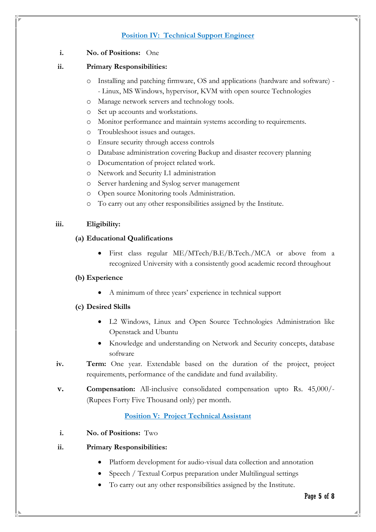# **Position IV: Technical Support Engineer**

### **i. No. of Positions:** One

#### **ii. Primary Responsibilities:**

- o Installing and patching firmware, OS and applications (hardware and software) - Linux, MS Windows, hypervisor, KVM with open source Technologies
- o Manage network servers and technology tools.
- o Set up accounts and workstations.
- o Monitor performance and maintain systems according to requirements.
- o Troubleshoot issues and outages.
- o Ensure security through access controls
- o Database administration covering Backup and disaster recovery planning
- o Documentation of project related work.
- o Network and Security L1 administration
- o Server hardening and Syslog server management
- o Open source Monitoring tools Administration.
- o To carry out any other responsibilities assigned by the Institute.

### **iii. Eligibility:**

#### **(a) Educational Qualifications**

• First class regular ME/MTech/B.E/B.Tech./MCA or above from a recognized University with a consistently good academic record throughout

### **(b) Experience**

• A minimum of three years' experience in technical support

### **(c) Desired Skills**

- L2 Windows, Linux and Open Source Technologies Administration like Openstack and Ubuntu
- Knowledge and understanding on Network and Security concepts, database software
- **iv. Term:** One year. Extendable based on the duration of the project, project requirements, performance of the candidate and fund availability.
- **v. Compensation:** All-inclusive consolidated compensation upto Rs. 45,000/- (Rupees Forty Five Thousand only) per month.

### **Position V: Project Technical Assistant**

**i. No. of Positions:** Two

### **ii. Primary Responsibilities:**

- Platform development for audio-visual data collection and annotation
- Speech / Textual Corpus preparation under Multilingual settings
- To carry out any other responsibilities assigned by the Institute.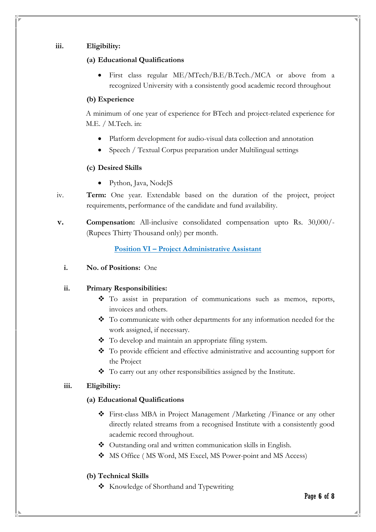#### **iii. Eligibility:**

#### **(a) Educational Qualifications**

• First class regular ME/MTech/B.E/B.Tech./MCA or above from a recognized University with a consistently good academic record throughout

#### **(b) Experience**

A minimum of one year of experience for BTech and project-related experience for M.E. / M.Tech. in:

- Platform development for audio-visual data collection and annotation
- Speech / Textual Corpus preparation under Multilingual settings

### **(c) Desired Skills**

- Python, Java, NodeJS
- iv. **Term:** One year. Extendable based on the duration of the project, project requirements, performance of the candidate and fund availability.
- **v. Compensation:** All-inclusive consolidated compensation upto Rs. 30,000/- (Rupees Thirty Thousand only) per month.

# **Position VI – Project Administrative Assistant**

**i. No. of Positions:** One

### **ii. Primary Responsibilities:**

- To assist in preparation of communications such as memos, reports, invoices and others.
- To communicate with other departments for any information needed for the work assigned, if necessary.
- To develop and maintain an appropriate filing system.
- To provide efficient and effective administrative and accounting support for the Project
- ◆ To carry out any other responsibilities assigned by the Institute.

### **iii. Eligibility:**

### **(a) Educational Qualifications**

- First-class MBA in Project Management /Marketing /Finance or any other directly related streams from a recognised Institute with a consistently good academic record throughout.
- ◆ Outstanding oral and written communication skills in English.
- $\clubsuit$  MS Office (MS Word, MS Excel, MS Power-point and MS Access)

### **(b) Technical Skills**

\* Knowledge of Shorthand and Typewriting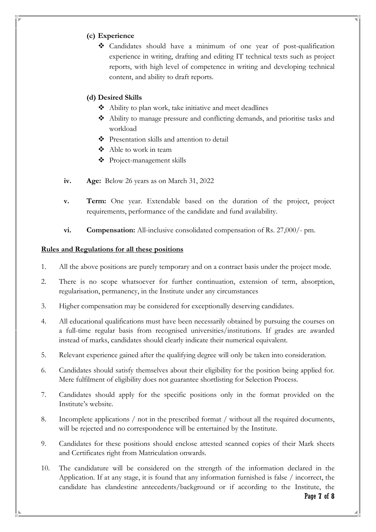# **(c) Experience**

 Candidates should have a minimum of one year of post-qualification experience in writing, drafting and editing IT technical texts such as project reports, with high level of competence in writing and developing technical content, and ability to draft reports.

# **(d) Desired Skills**

- Ability to plan work, take initiative and meet deadlines
- Ability to manage pressure and conflicting demands, and prioritise tasks and workload
- Presentation skills and attention to detail
- Able to work in team
- Project-management skills
- **iv. Age:** Below 26 years as on March 31, 2022
- **v. Term:** One year. Extendable based on the duration of the project, project requirements, performance of the candidate and fund availability.
- **vi. Compensation:** All-inclusive consolidated compensation of Rs. 27,000/- pm.

### **Rules and Regulations for all these positions**

- 1. All the above positions are purely temporary and on a contract basis under the project mode.
- 2. There is no scope whatsoever for further continuation, extension of term, absorption, regularisation, permanency, in the Institute under any circumstances
- 3. Higher compensation may be considered for exceptionally deserving candidates.
- 4. All educational qualifications must have been necessarily obtained by pursuing the courses on a full-time regular basis from recognised universities/institutions. If grades are awarded instead of marks, candidates should clearly indicate their numerical equivalent.
- 5. Relevant experience gained after the qualifying degree will only be taken into consideration.
- 6. Candidates should satisfy themselves about their eligibility for the position being applied for. Mere fulfilment of eligibility does not guarantee shortlisting for Selection Process.
- 7. Candidates should apply for the specific positions only in the format provided on the Institute's website.
- 8. Incomplete applications / not in the prescribed format / without all the required documents, will be rejected and no correspondence will be entertained by the Institute.
- 9. Candidates for these positions should enclose attested scanned copies of their Mark sheets and Certificates right from Matriculation onwards.
- 10. The candidature will be considered on the strength of the information declared in the Application. If at any stage, it is found that any information furnished is false / incorrect, the candidate has clandestine antecedents/background or if according to the Institute, the

Page **7** of **8**